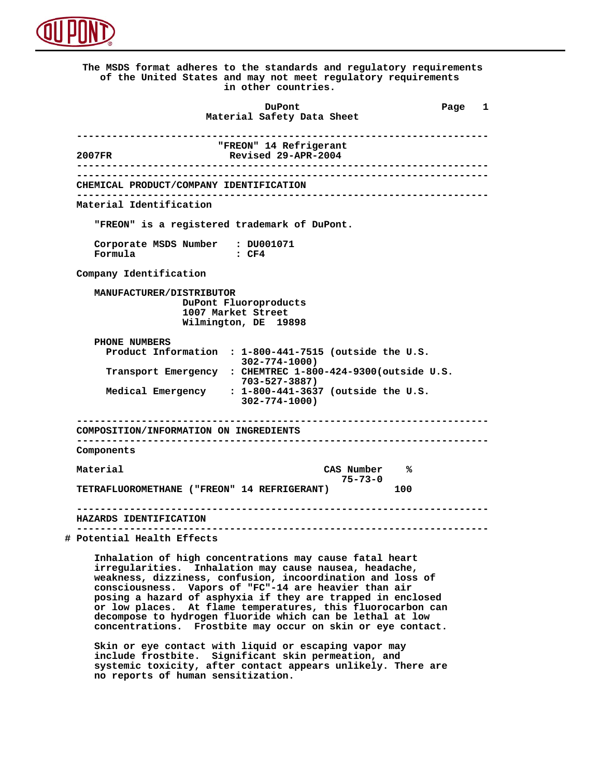

 **The MSDS format adheres to the standards and regulatory requirements of the United States and may not meet regulatory requirements in other countries. DuPont Different Page 1 Material Safety Data Sheet ---------------------------------------------------------------------- TREON" 14 Refrigerant**<br>2007FR **Revised 29-APR-2004 2007FR Revised 29-APR-2004 ---------------------------------------------------------------------- ---------------------------------------------------------------------- CHEMICAL PRODUCT/COMPANY IDENTIFICATION ---------------------------------------------------------------------- Material Identification "FREON" is a registered trademark of DuPont. Corporate MSDS Number : DU001071**  $Formula$  **Company Identification MANUFACTURER/DISTRIBUTOR DuPont Fluoroproducts 1007 Market Street Wilmington, DE 19898 PHONE NUMBERS Product Information : 1-800-441-7515 (outside the U.S. 302-774-1000) Transport Emergency : CHEMTREC 1-800-424-9300(outside U.S. 703-527-3887) Medical Emergency : 1-800-441-3637 (outside the U.S. 302-774-1000) ---------------------------------------------------------------------- COMPOSITION/INFORMATION ON INGREDIENTS ---------------------------------------------------------------------- Components Material CAS Number % 75-73-0 TETRAFLUOROMETHANE ("FREON" 14 REFRIGERANT) 100 ---------------------------------------------------------------------- HAZARDS IDENTIFICATION ---------------------------------------------------------------------- # Potential Health Effects Inhalation of high concentrations may cause fatal heart irregularities. Inhalation may cause nausea, headache, weakness, dizziness, confusion, incoordination and loss of consciousness. Vapors of "FC"-14 are heavier than air posing a hazard of asphyxia if they are trapped in enclosed or low places. At flame temperatures, this fluorocarbon can decompose to hydrogen fluoride which can be lethal at low concentrations. Frostbite may occur on skin or eye contact.**

 **Skin or eye contact with liquid or escaping vapor may include frostbite. Significant skin permeation, and systemic toxicity, after contact appears unlikely. There are no reports of human sensitization.**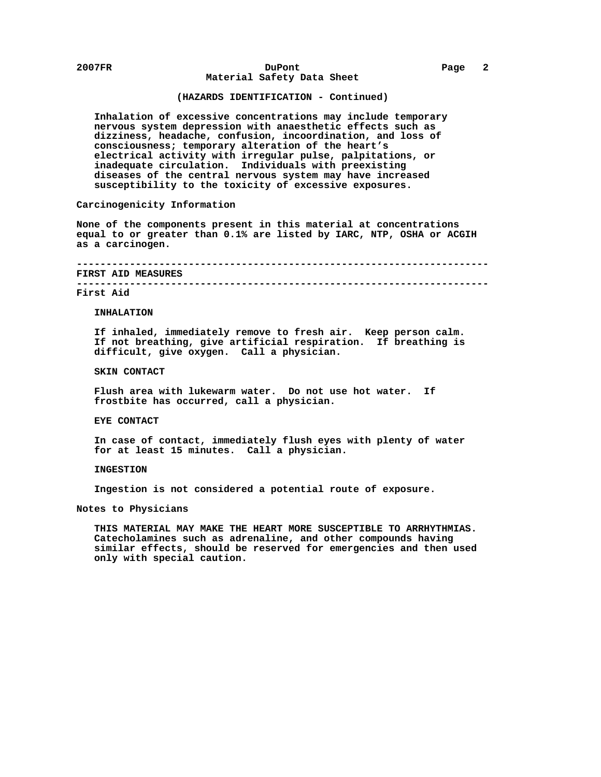#### **2007FR DuPont Page 2 Material Safety Data Sheet**

# **(HAZARDS IDENTIFICATION - Continued)**

 **Inhalation of excessive concentrations may include temporary nervous system depression with anaesthetic effects such as dizziness, headache, confusion, incoordination, and loss of consciousness; temporary alteration of the heart's electrical activity with irregular pulse, palpitations, or inadequate circulation. Individuals with preexisting diseases of the central nervous system may have increased susceptibility to the toxicity of excessive exposures.**

# **Carcinogenicity Information**

 **None of the components present in this material at concentrations equal to or greater than 0.1% are listed by IARC, NTP, OSHA or ACGIH as a carcinogen.**

 **---------------------------------------------------------------------- FIRST AID MEASURES**

 **----------------------------------------------------------------------**

### **First Aid**

 **INHALATION**

 **If inhaled, immediately remove to fresh air. Keep person calm. If not breathing, give artificial respiration. If breathing is difficult, give oxygen. Call a physician.**

# **SKIN CONTACT**

 **Flush area with lukewarm water. Do not use hot water. If frostbite has occurred, call a physician.**

# **EYE CONTACT**

 **In case of contact, immediately flush eyes with plenty of water for at least 15 minutes. Call a physician.**

 **INGESTION**

 **Ingestion is not considered a potential route of exposure.**

 **Notes to Physicians**

 **THIS MATERIAL MAY MAKE THE HEART MORE SUSCEPTIBLE TO ARRHYTHMIAS. Catecholamines such as adrenaline, and other compounds having similar effects, should be reserved for emergencies and then used only with special caution.**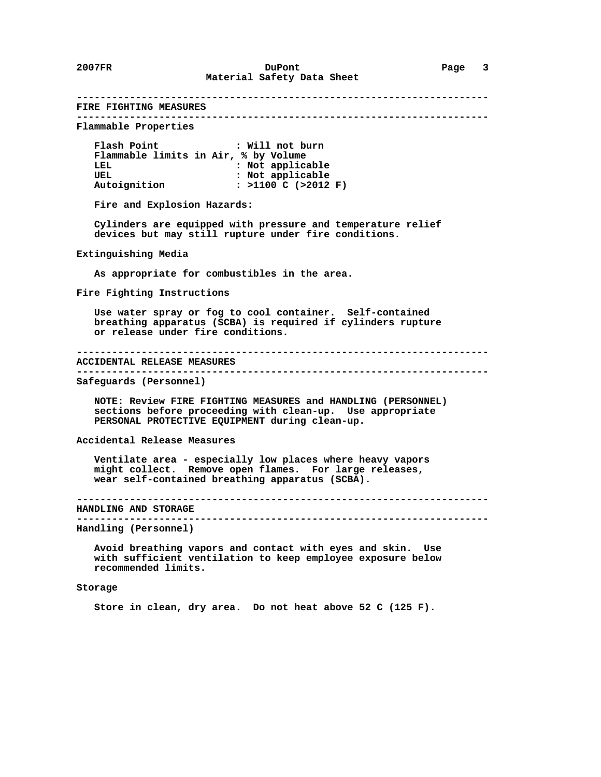**---------------------------------------------------------------------- FIRE FIGHTING MEASURES ---------------------------------------------------------------------- Flammable Properties Flash Point : Will not burn Flammable limits in Air, % by Volume :** Not applicable UEL **1988** : Not applicable  **Autoignition : >1100 C (>2012 F) Fire and Explosion Hazards: Cylinders are equipped with pressure and temperature relief devices but may still rupture under fire conditions. Extinguishing Media As appropriate for combustibles in the area. Fire Fighting Instructions Use water spray or fog to cool container. Self-contained breathing apparatus (SCBA) is required if cylinders rupture or release under fire conditions. ---------------------------------------------------------------------- ACCIDENTAL RELEASE MEASURES ---------------------------------------------------------------------- Safeguards (Personnel) NOTE: Review FIRE FIGHTING MEASURES and HANDLING (PERSONNEL) sections before proceeding with clean-up. Use appropriate PERSONAL PROTECTIVE EQUIPMENT during clean-up. Accidental Release Measures Ventilate area - especially low places where heavy vapors might collect. Remove open flames. For large releases, wear self-contained breathing apparatus (SCBA). ---------------------------------------------------------------------- HANDLING AND STORAGE ---------------------------------------------------------------------- Handling (Personnel) Avoid breathing vapors and contact with eyes and skin. Use with sufficient ventilation to keep employee exposure below recommended limits.**

# **Storage**

 **Store in clean, dry area. Do not heat above 52 C (125 F).**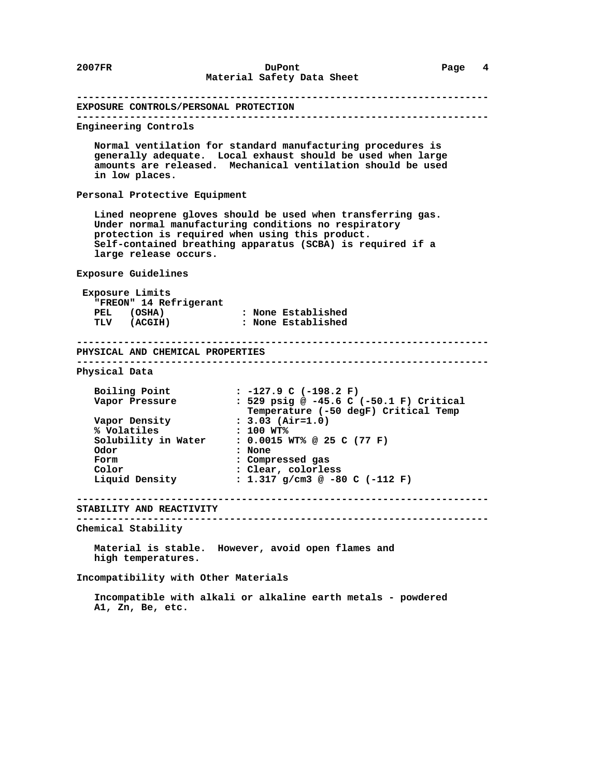**---------------------------------------------------------------------- EXPOSURE CONTROLS/PERSONAL PROTECTION ---------------------------------------------------------------------- Engineering Controls Normal ventilation for standard manufacturing procedures is generally adequate. Local exhaust should be used when large amounts are released. Mechanical ventilation should be used in low places. Personal Protective Equipment Lined neoprene gloves should be used when transferring gas. Under normal manufacturing conditions no respiratory protection is required when using this product. Self-contained breathing apparatus (SCBA) is required if a large release occurs. Exposure Guidelines Exposure Limits "FREON" 14 Refrigerant PEL (OSHA) : None Established TLV (ACGIH) : None Established ---------------------------------------------------------------------- PHYSICAL AND CHEMICAL PROPERTIES ---------------------------------------------------------------------- Physical Data Boiling Point : -127.9 C (-198.2 F) Vapor Pressure : 529 psig @ -45.6 C (-50.1 F) Critical** Vapor Pressure : 529 psig @ -45.6 C (-50.1 F) Critical<br>Temperature (-50 degF) Critical Temp<br>Vapor Density : 3.03 (Air=1.0) **Vapor Density : 3.03 (A:**<br>% **Volatiles : 100 WT% % Volatiles : 100 WT% Solubility in Water : 0.0015 WT% @ 25 C (77 F) Odor : None Form : Compressed gas Color** : Clear, colorless<br> **Liquid Density** : 1.317 g/cm3 @ -8  **Liquid Density : 1.317 g/cm3 @ -80 C (-112 F) ---------------------------------------------------------------------- STABILITY AND REACTIVITY ---------------------------------------------------------------------- Chemical Stability Material is stable. However, avoid open flames and high temperatures. Incompatibility with Other Materials**

> **Incompatible with alkali or alkaline earth metals - powdered A1, Zn, Be, etc.**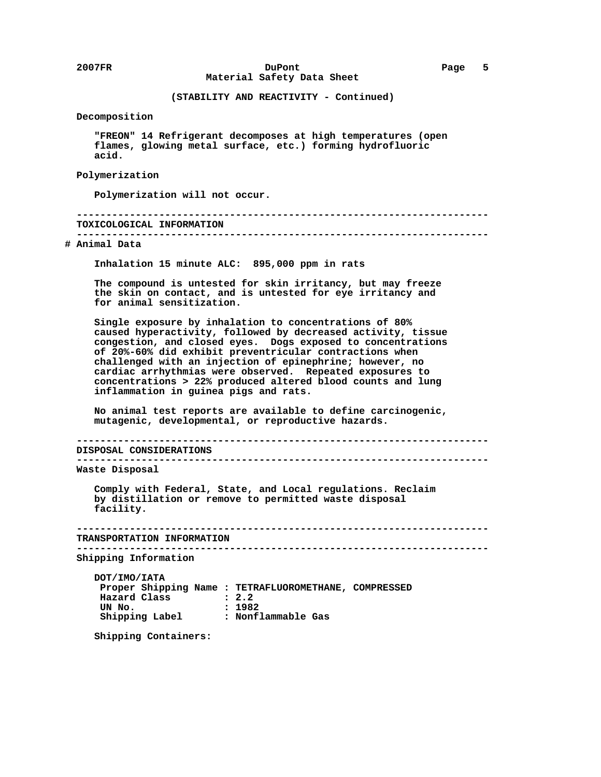**Decomposition**

 **"FREON" 14 Refrigerant decomposes at high temperatures (open flames, glowing metal surface, etc.) forming hydrofluoric acid.**

#### **Polymerization**

 **Polymerization will not occur.**

 **---------------------------------------------------------------------- TOXICOLOGICAL INFORMATION**

 **----------------------------------------------------------------------**

# **# Animal Data**

 **Inhalation 15 minute ALC: 895,000 ppm in rats**

 **The compound is untested for skin irritancy, but may freeze the skin on contact, and is untested for eye irritancy and for animal sensitization.**

 **Single exposure by inhalation to concentrations of 80% caused hyperactivity, followed by decreased activity, tissue congestion, and closed eyes. Dogs exposed to concentrations of 20%-60% did exhibit preventricular contractions when challenged with an injection of epinephrine; however, no cardiac arrhythmias were observed. Repeated exposures to concentrations > 22% produced altered blood counts and lung inflammation in guinea pigs and rats.**

 **No animal test reports are available to define carcinogenic, mutagenic, developmental, or reproductive hazards.**

 **---------------------------------------------------------------------- DISPOSAL CONSIDERATIONS ----------------------------------------------------------------------**

 **Waste Disposal**

 **Comply with Federal, State, and Local regulations. Reclaim by distillation or remove to permitted waste disposal facility.**

```
 ----------------------------------------------------------------------
TRANSPORTATION INFORMATION
```
 **----------------------------------------------------------------------**

 **Shipping Information**

 **DOT/IMO/IATA Proper Shipping Name : TETRAFLUOROMETHANE, COMPRESSED Hazard Class : 2.2 UN No. : 1982 Shipping Label : Nonflammable Gas**

 **Shipping Containers:**